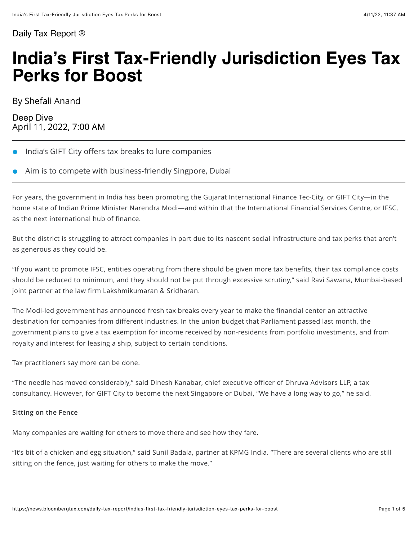#### [Daily Tax Report ®](https://news.bloombergtax.com/daily-tax-report/)

# **India's First Tax-Friendly Jurisdiction Eyes Tax Perks for Boost**

By Shefali Anand

Deep Dive April 11, 2022, 7:00 AM

- India's GIFT City offers tax breaks to lure companies
- Aim is to compete with business-friendly Singpore, Dubai

For years, the government in India has been promoting the Gujarat International Finance Tec-City, or GIFT City—in the home state of Indian Prime Minister Narendra Modi—and within that the International Financial Services Centre, or IFSC, as the next international hub of finance.

But the district is struggling to attract companies in part due to its nascent social infrastructure and tax perks that aren't as generous as they could be.

"If you want to promote IFSC, entities operating from there should be given more tax benefits, their tax compliance costs should be reduced to minimum, and they should not be put through excessive scrutiny," said Ravi Sawana, Mumbai-based joint partner at the law firm Lakshmikumaran & Sridharan.

The Modi-led government has announced fresh tax breaks every year to make the financial center an attractive destination for companies from different industries. In the union budget that Parliament passed last month, the government plans to give a tax exemption for income received by non-residents from portfolio investments, and from royalty and interest for leasing a ship, subject to certain conditions.

Tax practitioners say more can be done.

"The needle has moved considerably," said Dinesh Kanabar, chief executive officer of Dhruva Advisors LLP, a tax consultancy. However, for GIFT City to become the next Singapore or Dubai, "We have a long way to go," he said.

#### **Sitting on the Fence**

Many companies are waiting for others to move there and see how they fare.

"It's bit of a chicken and egg situation," said Sunil Badala, partner at KPMG India. "There are several clients who are still sitting on the fence, just waiting for others to make the move."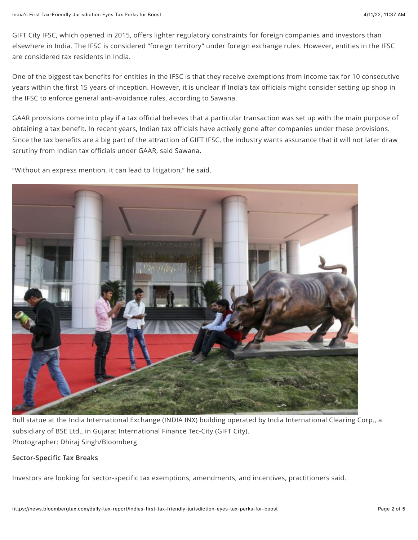GIFT City IFSC, which opened in 2015, offers lighter regulatory constraints for foreign companies and investors than elsewhere in India. The IFSC is considered "foreign territory" under foreign exchange rules. However, entities in the IFSC are considered tax residents in India.

One of the biggest tax benefits for entities in the IFSC is that they receive exemptions from income tax for 10 consecutive years within the first 15 years of inception. However, it is unclear if India's tax officials might consider setting up shop in the IFSC to enforce general anti-avoidance rules, according to Sawana.

GAAR provisions come into play if a tax official believes that a particular transaction was set up with the main purpose of obtaining a tax benefit. In recent years, Indian tax officials have actively gone after companies under these provisions. Since the tax benefits are a big part of the attraction of GIFT IFSC, the industry wants assurance that it will not later draw scrutiny from Indian tax officials under GAAR, said Sawana.

"Without an express mention, it can lead to litigation," he said.



Bull statue at the India International Exchange (INDIA INX) building operated by India International Clearing Corp., a subsidiary of BSE Ltd., in Gujarat International Finance Tec-City (GIFT City). Photographer: Dhiraj Singh/Bloomberg

#### **Sector-Specific Tax Breaks**

Investors are looking for sector-specific tax exemptions, amendments, and incentives, practitioners said.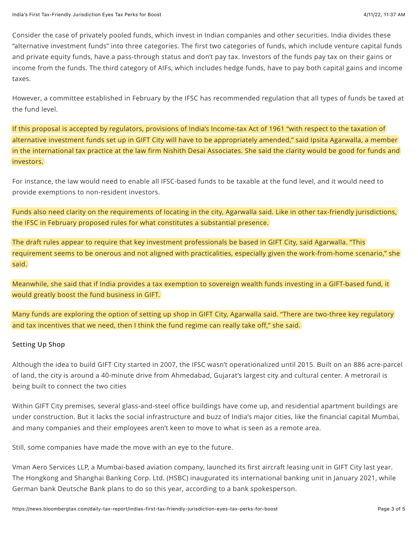Consider the case of privately pooled funds, which invest in Indian companies and other securities. India divides these "alternative investment funds" into three categories. The first two categories of funds, which include venture capital funds and private equity funds, have a pass-through status and don't pay tax. Investors of the funds pay tax on their gains or income from the funds. The third category of AIFs, which includes hedge funds, have to pay both capital gains and income taxes.

However, a committee established in February by the IFSC has [recommended regulation](https://ifsca.gov.in/Viewer/ReportandPublication/26) that all types of funds be taxed at the fund level.

If this proposal is accepted by regulators, provisions of India's Income-tax Act of 1961 "with respect to the taxation of alternative investment funds set up in GIFT City will have to be appropriately amended," said Ipsita Agarwalla, a member in the international tax practice at the law firm Nishith Desai Associates. She said the clarity would be good for funds and investors.

For instance, the law would need to enable all IFSC-based funds to be taxable at the fund level, and it would need to provide exemptions to non-resident investors.

Funds also need clarity on the requirements of locating in the city, Agarwalla said. Like in other tax-friendly jurisdictions, the IFSC in February [proposed rules](https://ifsca.gov.in/Viewer/ReportandPublication/25) for what constitutes a substantial presence.

The draft rules appear to require that key investment professionals be based in GIFT City, said Agarwalla. "This requirement seems to be onerous and not aligned with practicalities, especially given the work-from-home scenario," she said.

Meanwhile, she said that if India provides a tax exemption to sovereign wealth funds investing in a GIFT-based fund, it would greatly boost the fund business in GIFT.

Many funds are exploring the option of setting up shop in GIFT City, Agarwalla said. "There are two-three key regulatory and tax incentives that we need, then I think the fund regime can really take off," she said.

#### **Setting Up Shop**

Although the idea to build GIFT City started in 2007, the IFSC wasn't operationalized until 2015. Built on an 886 acre-parcel of land, the city is around a 40-minute drive from Ahmedabad, Gujarat's largest city and cultural center. A metrorail is being built to connect the two cities

Within GIFT City premises, several glass-and-steel office buildings have come up, and residential apartment buildings are under construction. But it lacks the social infrastructure and buzz of India's major cities, like the financial capital Mumbai, and many companies and their employees aren't keen to move to what is seen as a remote area.

Still, some companies have made the move with an eye to the future.

Vman Aero Services LLP, a Mumbai-based aviation company, launched its first aircraft leasing unit in GIFT City last year. The Hongkong and Shanghai Banking Corp. Ltd. (HSBC) inaugurated its international banking unit in January 2021, while German bank Deutsche Bank plans to do so this year, according to a bank spokesperson.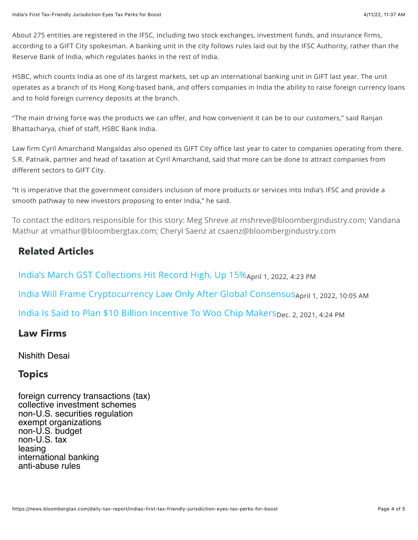About 275 entities are registered in the IFSC, including two stock exchanges, investment funds, and insurance firms, according to a GIFT City spokesman. A banking unit in the city follows rules laid out by the IFSC Authority, rather than the Reserve Bank of India, which regulates banks in the rest of India.

HSBC, which counts India as one of its largest markets, set up an international banking unit in GIFT last year. The unit operates as a branch of its Hong Kong-based bank, and offers companies in India the ability to raise foreign currency loans and to hold foreign currency deposits at the branch.

"The main driving force was the products we can offer, and how convenient it can be to our customers," said Ranjan Bhattacharya, chief of staff, HSBC Bank India.

Law firm Cyril Amarchand Mangaldas also opened its GIFT City office last year to cater to companies operating from there. S.R. Patnaik, partner and head of taxation at Cyril Amarchand, said that more can be done to attract companies from different sectors to GIFT City.

"It is imperative that the government considers inclusion of more products or services into India's IFSC and provide a smooth pathway to new investors proposing to enter India," he said.

To contact the editors responsible for this story: Meg Shreve at [mshreve@bloombergindustry.com](mailto:mshreve@bloombergindustry.com); Vandana Mathur at [vmathur@bloombergtax.com;](mailto:vmathur@bloombergtax.com) Cheryl Saenz at [csaenz@bloombergindustry.com](mailto:csaenz@bloombergindustry.com)

# **Related Articles**

India's March GST Collections Hit Record High, Up 15% April 1, 2022, 4:23 PM [India Will Frame Cryptocurrency Law Only After Global Consensus](https://news.bloombergtax.com/daily-tax-report/india-will-frame-cryptocurrency-law-only-after-global-consensus?context=article-related) April 1, 2022, 10:05 AM [India Is Said to Plan \\$10 Billion Incentive To Woo Chip Makers](https://news.bloombergtax.com/daily-tax-report/india-is-said-to-plan-10-billion-incentive-to-woo-chip-makers?context=article-related)Dec. 2, 2021, 4:24 PM

## **Law Firms**

### [Nishith Desai](https://news.bloombergtax.com/daily-tax-report/search?lawFirms=00000152-e726-da6a-abd2-ef3ed8800000)

## **129 Topics**

[foreign currency transactions \(tax\)](https://news.bloombergtax.com/daily-tax-report/search?topic=00000152-e727-da6a-abd2-ef3fbf030000) [collective investment schemes](https://news.bloombergtax.com/daily-tax-report/search?topic=00000152-e728-da6a-abd2-ef3c89ec0000) [non-U.S. securities regulation](https://news.bloombergtax.com/daily-tax-report/search?topic=00000152-e728-da6a-abd2-ef3c730c0000) [exempt organizations](https://news.bloombergtax.com/daily-tax-report/search?topic=00000152-e727-da6a-abd2-ef3fd5170000) [non-U.S. budget](https://news.bloombergtax.com/daily-tax-report/search?topic=00000152-e728-da6a-abd2-ef3c6cf90000) [non-U.S. tax](https://news.bloombergtax.com/daily-tax-report/search?topic=00000152-e728-da6a-abd2-ef3cac290000) [leasing](https://news.bloombergtax.com/daily-tax-report/search?topic=00000152-e727-da6a-abd2-ef3fef750000) [international banking](https://news.bloombergtax.com/daily-tax-report/search?topic=00000152-e727-da6a-abd2-ef3fbf0b0000) [anti-abuse rules](https://news.bloombergtax.com/daily-tax-report/search?topic=00000152-e728-da6a-abd2-ef3c97d70003)